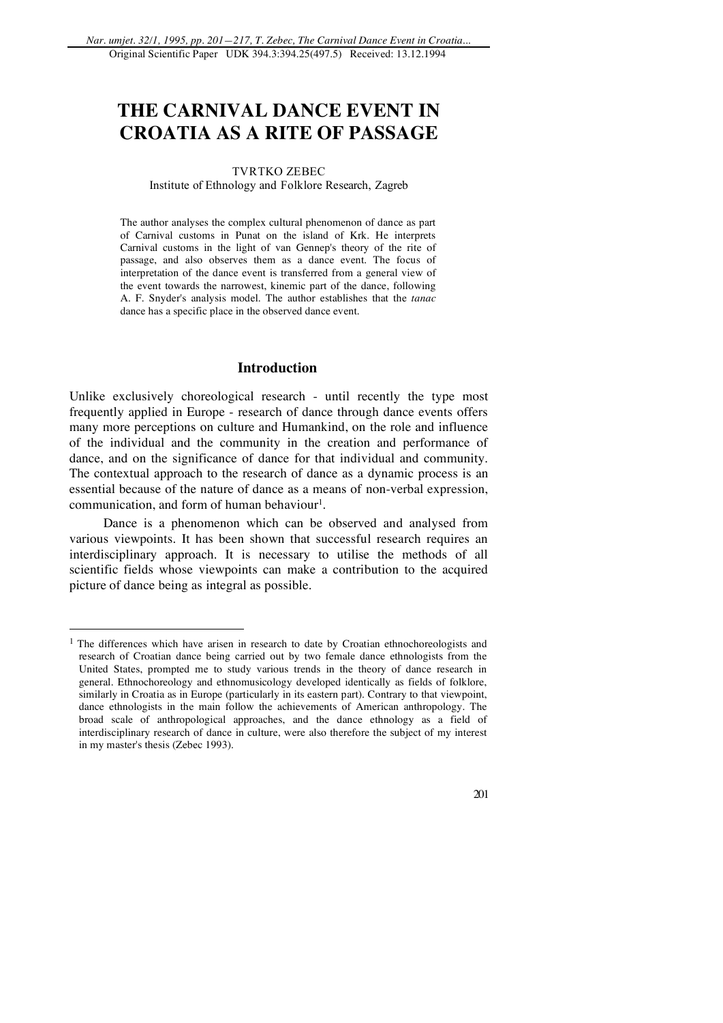# **THE CARNIVAL DANCE EVENT IN CROATIA AS A RITE OF PASSAGE**

# TVRTKO ZEBEC

Institute of Ethnology and Folklore Research, Zagreb

The author analyses the complex cultural phenomenon of dance as part of Carnival customs in Punat on the island of Krk. He interprets Carnival customs in the light of van Gennep's theory of the rite of passage, and also observes them as a dance event. The focus of interpretation of the dance event is transferred from a general view of the event towards the narrowest, kinemic part of the dance, following A. F. Snyder's analysis model. The author establishes that the *tanac* dance has a specific place in the observed dance event.

# **Introduction**

Unlike exclusively choreological research - until recently the type most frequently applied in Europe - research of dance through dance events offers many more perceptions on culture and Humankind, on the role and influence of the individual and the community in the creation and performance of dance, and on the significance of dance for that individual and community. The contextual approach to the research of dance as a dynamic process is an essential because of the nature of dance as a means of non-verbal expression, communication, and form of human behaviour<sup>1</sup>.

Dance is a phenomenon which can be observed and analysed from various viewpoints. It has been shown that successful research requires an interdisciplinary approach. It is necessary to utilise the methods of all scientific fields whose viewpoints can make a contribution to the acquired picture of dance being as integral as possible.

 $\overline{a}$ 

<sup>&</sup>lt;sup>1</sup> The differences which have arisen in research to date by Croatian ethnochoreologists and research of Croatian dance being carried out by two female dance ethnologists from the United States, prompted me to study various trends in the theory of dance research in general. Ethnochoreology and ethnomusicology developed identically as fields of folklore, similarly in Croatia as in Europe (particularly in its eastern part). Contrary to that viewpoint, dance ethnologists in the main follow the achievements of American anthropology. The broad scale of anthropological approaches, and the dance ethnology as a field of interdisciplinary research of dance in culture, were also therefore the subject of my interest in my master's thesis (Zebec 1993).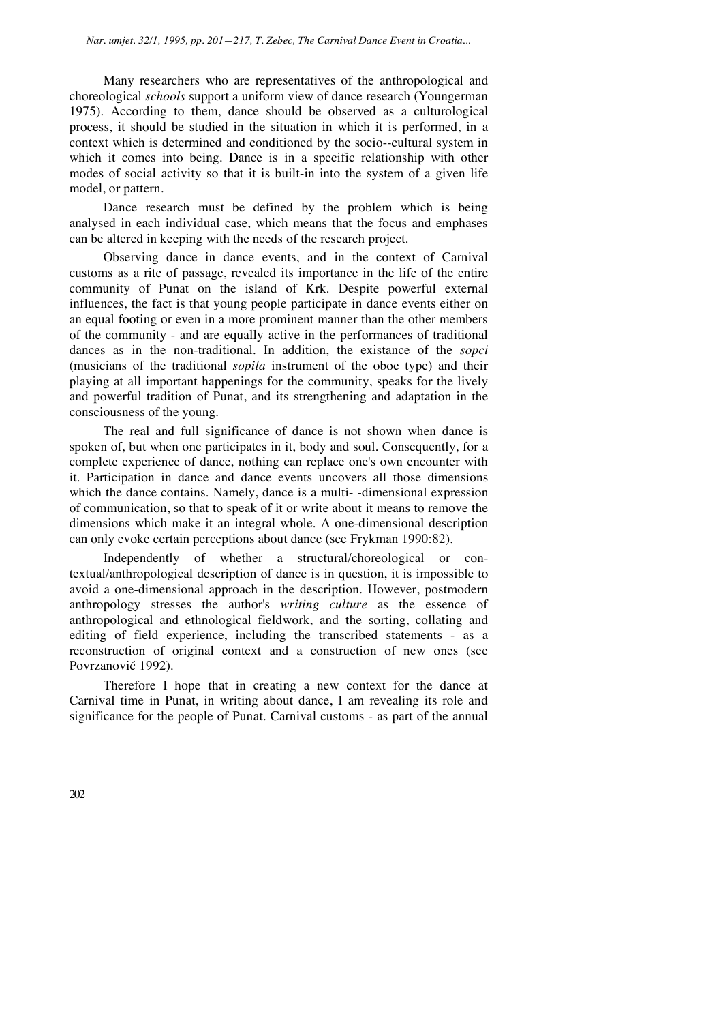Many researchers who are representatives of the anthropological and choreological *schools* support a uniform view of dance research (Youngerman 1975). According to them, dance should be observed as a culturological process, it should be studied in the situation in which it is performed, in a context which is determined and conditioned by the socio--cultural system in which it comes into being. Dance is in a specific relationship with other modes of social activity so that it is built-in into the system of a given life model, or pattern.

Dance research must be defined by the problem which is being analysed in each individual case, which means that the focus and emphases can be altered in keeping with the needs of the research project.

Observing dance in dance events, and in the context of Carnival customs as a rite of passage, revealed its importance in the life of the entire community of Punat on the island of Krk. Despite powerful external influences, the fact is that young people participate in dance events either on an equal footing or even in a more prominent manner than the other members of the community - and are equally active in the performances of traditional dances as in the non-traditional. In addition, the existance of the *sopci* (musicians of the traditional *sopila* instrument of the oboe type) and their playing at all important happenings for the community, speaks for the lively and powerful tradition of Punat, and its strengthening and adaptation in the consciousness of the young.

The real and full significance of dance is not shown when dance is spoken of, but when one participates in it, body and soul. Consequently, for a complete experience of dance, nothing can replace one's own encounter with it. Participation in dance and dance events uncovers all those dimensions which the dance contains. Namely, dance is a multi- -dimensional expression of communication, so that to speak of it or write about it means to remove the dimensions which make it an integral whole. A one-dimensional description can only evoke certain perceptions about dance (see Frykman 1990:82).

Independently of whether a structural/choreological or contextual/anthropological description of dance is in question, it is impossible to avoid a one-dimensional approach in the description. However, postmodern anthropology stresses the author's *writing culture* as the essence of anthropological and ethnological fieldwork, and the sorting, collating and editing of field experience, including the transcribed statements - as a reconstruction of original context and a construction of new ones (see Povrzanović 1992).

Therefore I hope that in creating a new context for the dance at Carnival time in Punat, in writing about dance, I am revealing its role and significance for the people of Punat. Carnival customs - as part of the annual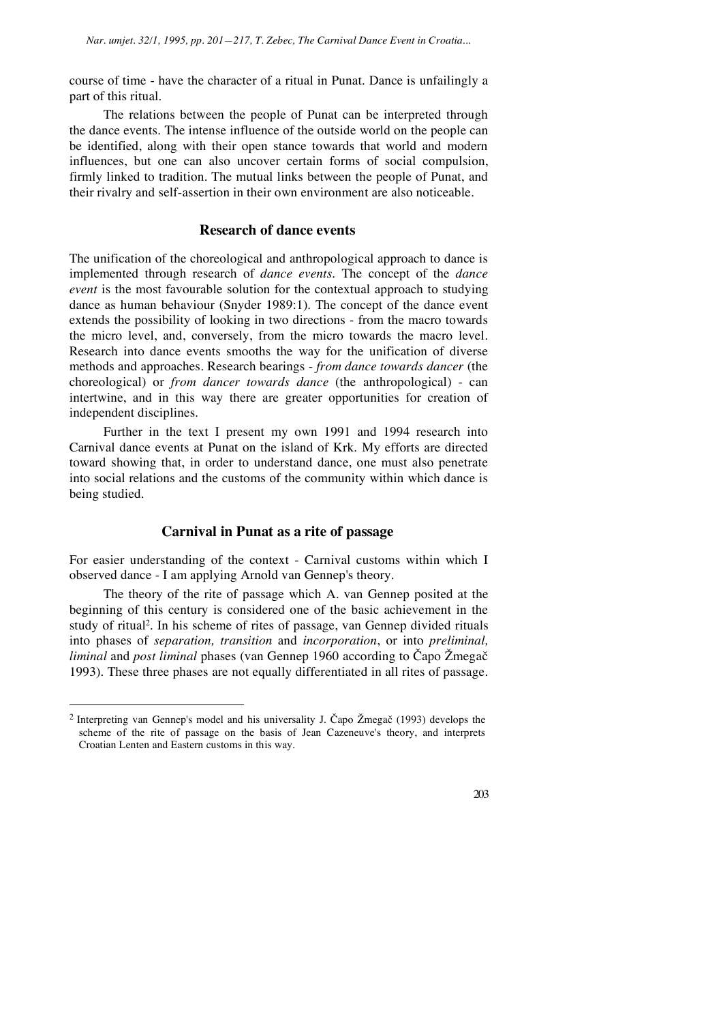course of time - have the character of a ritual in Punat. Dance is unfailingly a part of this ritual.

The relations between the people of Punat can be interpreted through the dance events. The intense influence of the outside world on the people can be identified, along with their open stance towards that world and modern influences, but one can also uncover certain forms of social compulsion, firmly linked to tradition. The mutual links between the people of Punat, and their rivalry and self-assertion in their own environment are also noticeable.

#### **Research of dance events**

The unification of the choreological and anthropological approach to dance is implemented through research of *dance events*. The concept of the *dance event* is the most favourable solution for the contextual approach to studying dance as human behaviour (Snyder 1989:1). The concept of the dance event extends the possibility of looking in two directions - from the macro towards the micro level, and, conversely, from the micro towards the macro level. Research into dance events smooths the way for the unification of diverse methods and approaches. Research bearings - *from dance towards dancer* (the choreological) or *from dancer towards dance* (the anthropological) - can intertwine, and in this way there are greater opportunities for creation of independent disciplines.

Further in the text I present my own 1991 and 1994 research into Carnival dance events at Punat on the island of Krk. My efforts are directed toward showing that, in order to understand dance, one must also penetrate into social relations and the customs of the community within which dance is being studied.

## **Carnival in Punat as a rite of passage**

For easier understanding of the context - Carnival customs within which I observed dance - I am applying Arnold van Gennep's theory.

The theory of the rite of passage which A. van Gennep posited at the beginning of this century is considered one of the basic achievement in the study of ritual2. In his scheme of rites of passage, van Gennep divided rituals into phases of *separation, transition* and *incorporation*, or into *preliminal, liminal* and *post liminal* phases (van Gennep 1960 according to Čapo Žmegač 1993). These three phases are not equally differentiated in all rites of passage.

 $\overline{a}$ 

<sup>&</sup>lt;sup>2</sup> Interpreting van Gennep's model and his universality J. Čapo Žmegač (1993) develops the scheme of the rite of passage on the basis of Jean Cazeneuve's theory, and interprets Croatian Lenten and Eastern customs in this way.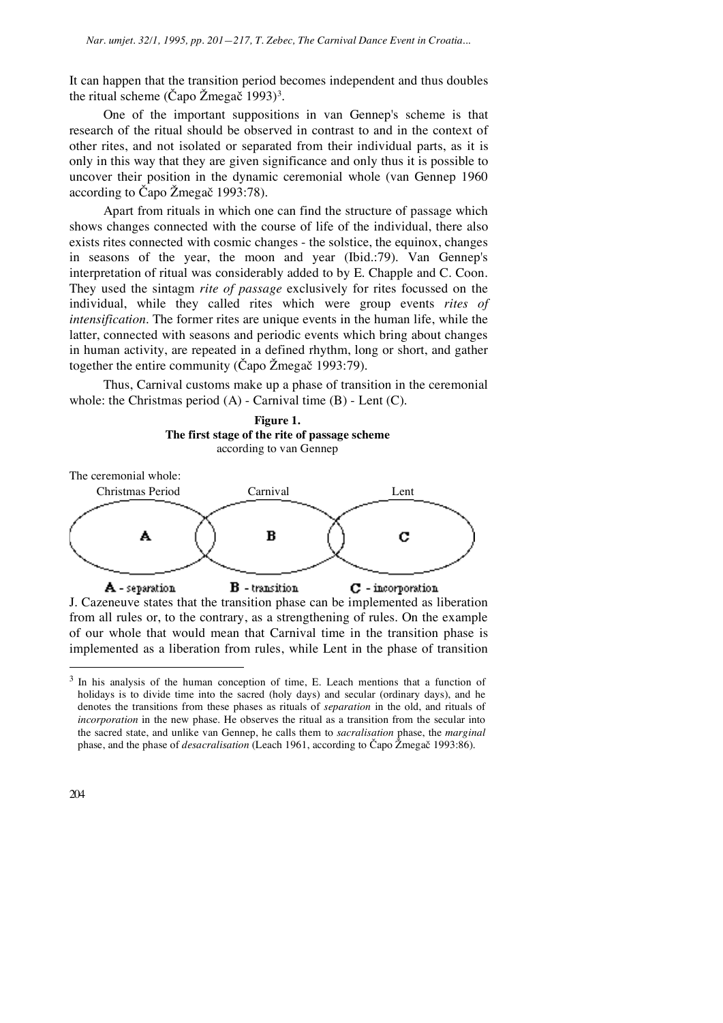It can happen that the transition period becomes independent and thus doubles the ritual scheme (Capo Žmegač 1993)<sup>3</sup>.

One of the important suppositions in van Gennep's scheme is that research of the ritual should be observed in contrast to and in the context of other rites, and not isolated or separated from their individual parts, as it is only in this way that they are given significance and only thus it is possible to uncover their position in the dynamic ceremonial whole (van Gennep 1960 according to Čapo Žmegač 1993:78).

Apart from rituals in which one can find the structure of passage which shows changes connected with the course of life of the individual, there also exists rites connected with cosmic changes - the solstice, the equinox, changes in seasons of the year, the moon and year (Ibid.:79). Van Gennep's interpretation of ritual was considerably added to by E. Chapple and C. Coon. They used the sintagm *rite of passage* exclusively for rites focussed on the individual, while they called rites which were group events *rites of intensification*. The former rites are unique events in the human life, while the latter, connected with seasons and periodic events which bring about changes in human activity, are repeated in a defined rhythm, long or short, and gather together the entire community (Čapo Žmegač 1993:79).

Thus, Carnival customs make up a phase of transition in the ceremonial whole: the Christmas period  $(A)$  - Carnival time  $(B)$  - Lent  $(C)$ .







J. Cazeneuve states that the transition phase can be implemented as liberation from all rules or, to the contrary, as a strengthening of rules. On the example of our whole that would mean that Carnival time in the transition phase is implemented as a liberation from rules, while Lent in the phase of transition

<sup>&</sup>lt;sup>3</sup> In his analysis of the human conception of time, E. Leach mentions that a function of holidays is to divide time into the sacred (holy days) and secular (ordinary days), and he denotes the transitions from these phases as rituals of *separation* in the old, and rituals of *incorporation* in the new phase. He observes the ritual as a transition from the secular into the sacred state, and unlike van Gennep, he calls them to *sacralisation* phase, the *marginal* phase, and the phase of *desacralisation* (Leach 1961, according to Čapo Žmegač 1993:86).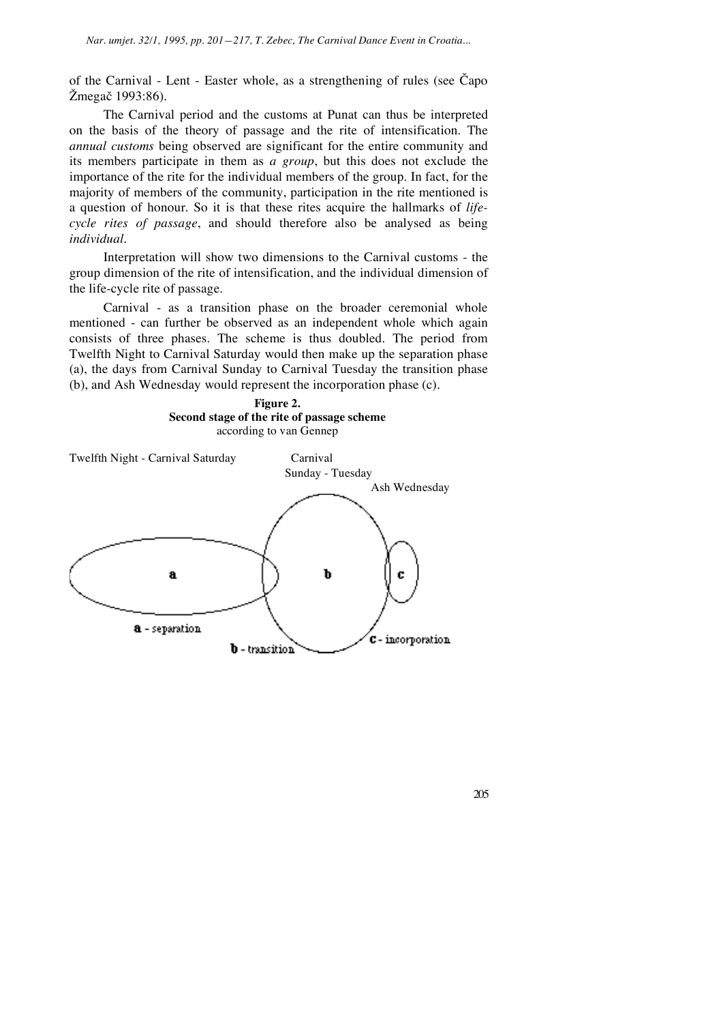of the Carnival - Lent - Easter whole, as a strengthening of rules (see  $\check{C}$ apo Žmegač 1993:86).

The Carnival period and the customs at Punat can thus be interpreted on the basis of the theory of passage and the rite of intensification. The *annual customs* being observed are significant for the entire community and its members participate in them as *a group*, but this does not exclude the importance of the rite for the individual members of the group. In fact, for the majority of members of the community, participation in the rite mentioned is a question of honour. So it is that these rites acquire the hallmarks of *lifecycle rites of passage*, and should therefore also be analysed as being *individual*.

Interpretation will show two dimensions to the Carnival customs - the group dimension of the rite of intensification, and the individual dimension of the life-cycle rite of passage.

Carnival - as a transition phase on the broader ceremonial whole mentioned - can further be observed as an independent whole which again consists of three phases. The scheme is thus doubled. The period from Twelfth Night to Carnival Saturday would then make up the separation phase (a), the days from Carnival Sunday to Carnival Tuesday the transition phase (b), and Ash Wednesday would represent the incorporation phase (c).



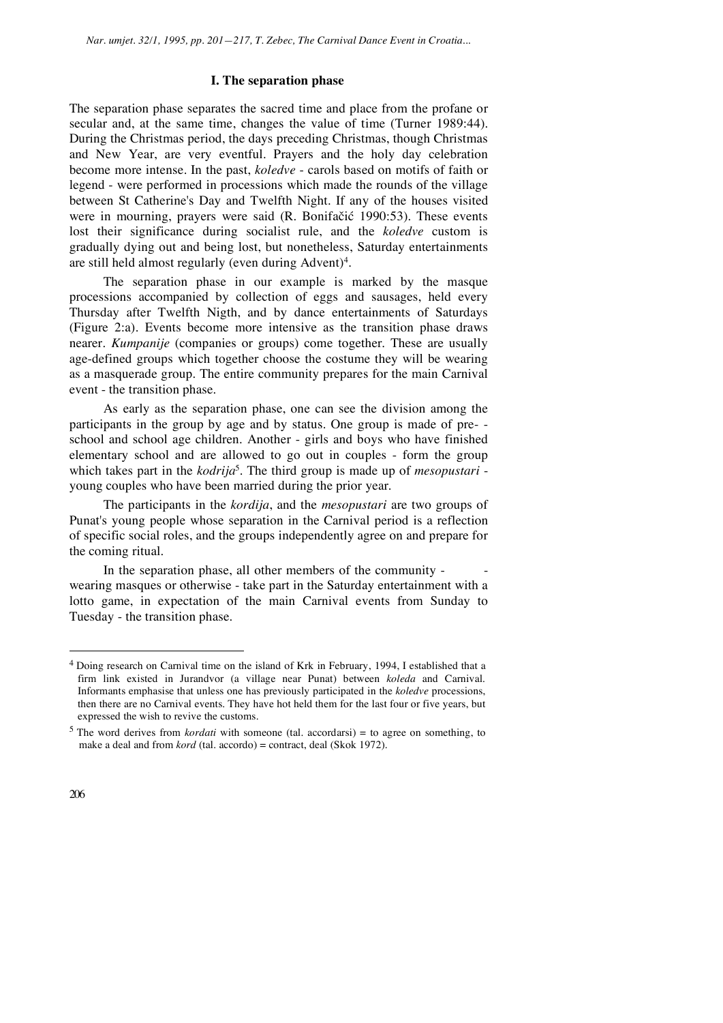# **I. The separation phase**

The separation phase separates the sacred time and place from the profane or secular and, at the same time, changes the value of time (Turner 1989:44). During the Christmas period, the days preceding Christmas, though Christmas and New Year, are very eventful. Prayers and the holy day celebration become more intense. In the past, *koledve* - carols based on motifs of faith or legend - were performed in processions which made the rounds of the village between St Catherine's Day and Twelfth Night. If any of the houses visited were in mourning, prayers were said (R. Bonifačić 1990:53). These events lost their significance during socialist rule, and the *koledve* custom is gradually dying out and being lost, but nonetheless, Saturday entertainments are still held almost regularly (even during Advent)4.

The separation phase in our example is marked by the masque processions accompanied by collection of eggs and sausages, held every Thursday after Twelfth Nigth, and by dance entertainments of Saturdays (Figure 2:a). Events become more intensive as the transition phase draws nearer. *Kumpanije* (companies or groups) come together. These are usually age-defined groups which together choose the costume they will be wearing as a masquerade group. The entire community prepares for the main Carnival event - the transition phase.

As early as the separation phase, one can see the division among the participants in the group by age and by status. One group is made of pre- school and school age children. Another - girls and boys who have finished elementary school and are allowed to go out in couples - form the group which takes part in the *kodrija*<sup>5</sup>. The third group is made up of *mesopustari* young couples who have been married during the prior year.

The participants in the *kordija*, and the *mesopustari* are two groups of Punat's young people whose separation in the Carnival period is a reflection of specific social roles, and the groups independently agree on and prepare for the coming ritual.

In the separation phase, all other members of the community wearing masques or otherwise - take part in the Saturday entertainment with a lotto game, in expectation of the main Carnival events from Sunday to Tuesday - the transition phase.

<sup>4</sup> Doing research on Carnival time on the island of Krk in February, 1994, I established that a firm link existed in Jurandvor (a village near Punat) between *koleda* and Carnival. Informants emphasise that unless one has previously participated in the *koledve* processions, then there are no Carnival events. They have hot held them for the last four or five years, but expressed the wish to revive the customs.

<sup>5</sup> The word derives from *kordati* with someone (tal. accordarsi) = to agree on something, to make a deal and from *kord* (tal. accordo) = contract, deal (Skok 1972).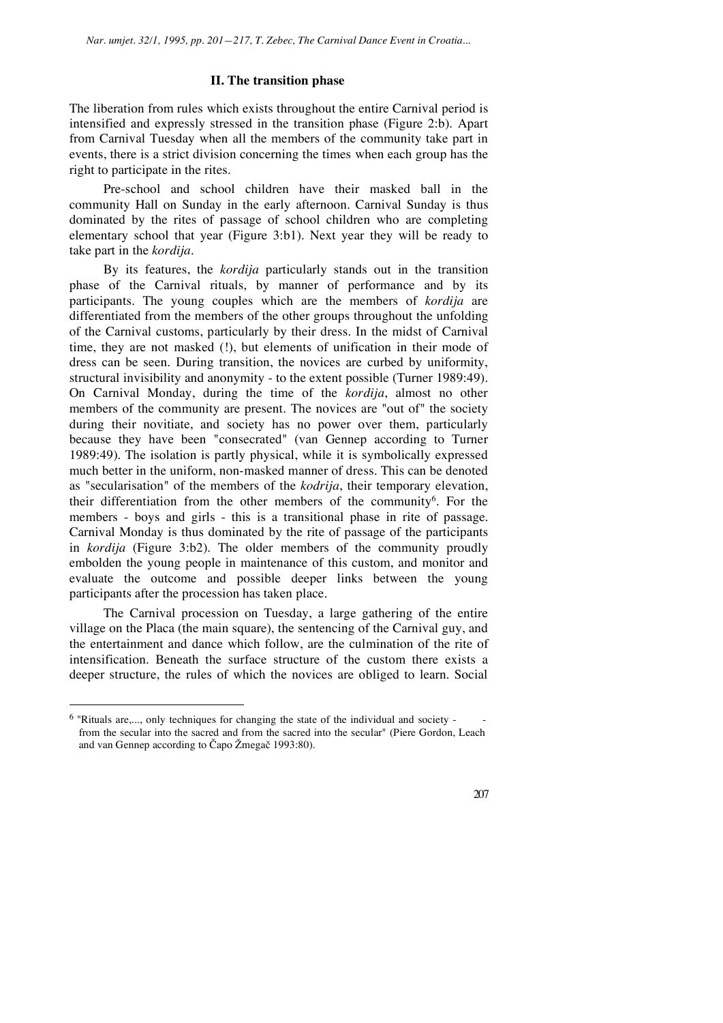# **II. The transition phase**

The liberation from rules which exists throughout the entire Carnival period is intensified and expressly stressed in the transition phase (Figure 2:b). Apart from Carnival Tuesday when all the members of the community take part in events, there is a strict division concerning the times when each group has the right to participate in the rites.

Pre-school and school children have their masked ball in the community Hall on Sunday in the early afternoon. Carnival Sunday is thus dominated by the rites of passage of school children who are completing elementary school that year (Figure 3:b1). Next year they will be ready to take part in the *kordija*.

By its features, the *kordija* particularly stands out in the transition phase of the Carnival rituals, by manner of performance and by its participants. The young couples which are the members of *kordija* are differentiated from the members of the other groups throughout the unfolding of the Carnival customs, particularly by their dress. In the midst of Carnival time, they are not masked (!), but elements of unification in their mode of dress can be seen. During transition, the novices are curbed by uniformity, structural invisibility and anonymity - to the extent possible (Turner 1989:49). On Carnival Monday, during the time of the *kordija*, almost no other members of the community are present. The novices are "out of" the society during their novitiate, and society has no power over them, particularly because they have been "consecrated" (van Gennep according to Turner 1989:49). The isolation is partly physical, while it is symbolically expressed much better in the uniform, non-masked manner of dress. This can be denoted as "secularisation" of the members of the *kodrija*, their temporary elevation, their differentiation from the other members of the community6. For the members - boys and girls - this is a transitional phase in rite of passage. Carnival Monday is thus dominated by the rite of passage of the participants in *kordija* (Figure 3:b2). The older members of the community proudly embolden the young people in maintenance of this custom, and monitor and evaluate the outcome and possible deeper links between the young participants after the procession has taken place.

The Carnival procession on Tuesday, a large gathering of the entire village on the Placa (the main square), the sentencing of the Carnival guy, and the entertainment and dance which follow, are the culmination of the rite of intensification. Beneath the surface structure of the custom there exists a deeper structure, the rules of which the novices are obliged to learn. Social

 $\overline{a}$ 

 $6$  "Rituals are,..., only techniques for changing the state of the individual and society from the secular into the sacred and from the sacred into the secular" (Piere Gordon, Leach and van Gennep according to Čapo Žmegač 1993:80).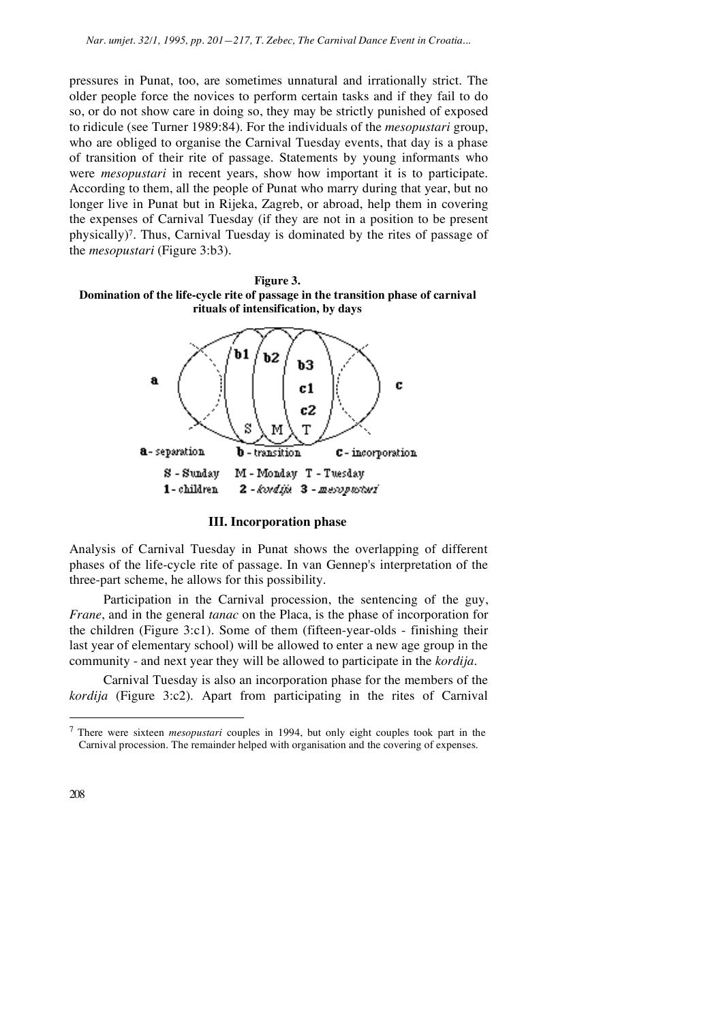pressures in Punat, too, are sometimes unnatural and irrationally strict. The older people force the novices to perform certain tasks and if they fail to do so, or do not show care in doing so, they may be strictly punished of exposed to ridicule (see Turner 1989:84). For the individuals of the *mesopustari* group, who are obliged to organise the Carnival Tuesday events, that day is a phase of transition of their rite of passage. Statements by young informants who were *mesopustari* in recent years, show how important it is to participate. According to them, all the people of Punat who marry during that year, but no longer live in Punat but in Rijeka, Zagreb, or abroad, help them in covering the expenses of Carnival Tuesday (if they are not in a position to be present physically)7. Thus, Carnival Tuesday is dominated by the rites of passage of the *mesopustari* (Figure 3:b3).





#### **III. Incorporation phase**

Analysis of Carnival Tuesday in Punat shows the overlapping of different phases of the life-cycle rite of passage. In van Gennep's interpretation of the three-part scheme, he allows for this possibility.

Participation in the Carnival procession, the sentencing of the guy, *Frane*, and in the general *tanac* on the Placa, is the phase of incorporation for the children (Figure 3:c1). Some of them (fifteen-year-olds - finishing their last year of elementary school) will be allowed to enter a new age group in the community - and next year they will be allowed to participate in the *kordija*.

Carnival Tuesday is also an incorporation phase for the members of the *kordija* (Figure 3:c2). Apart from participating in the rites of Carnival

<sup>7</sup> There were sixteen *mesopustari* couples in 1994, but only eight couples took part in the Carnival procession. The remainder helped with organisation and the covering of expenses.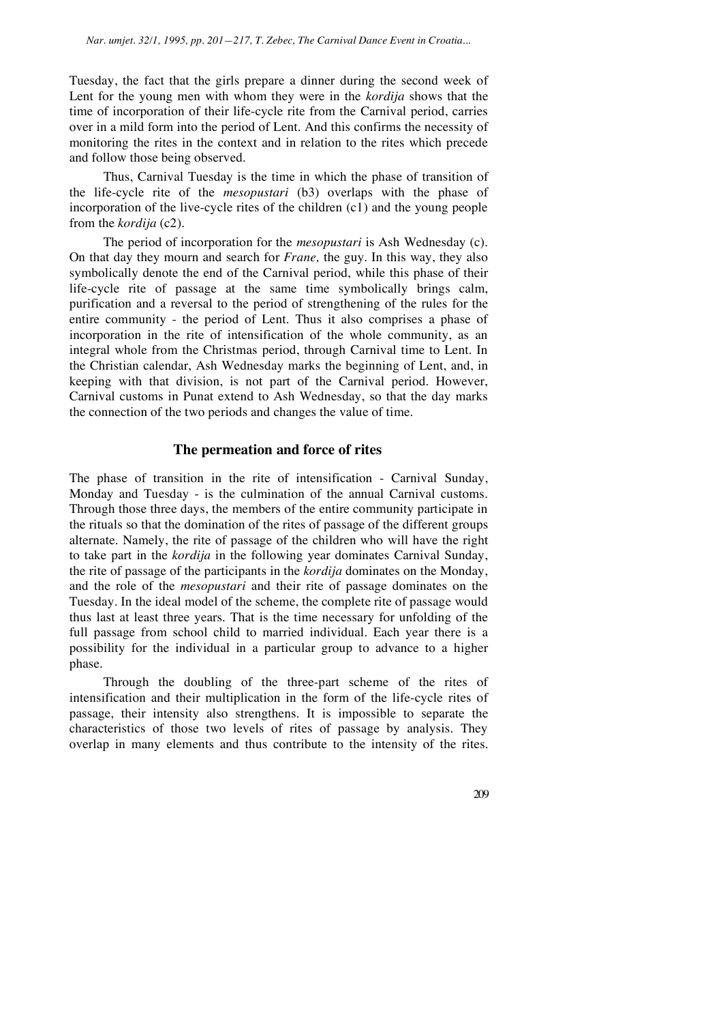Tuesday, the fact that the girls prepare a dinner during the second week of Lent for the young men with whom they were in the *kordija* shows that the time of incorporation of their life-cycle rite from the Carnival period, carries over in a mild form into the period of Lent. And this confirms the necessity of monitoring the rites in the context and in relation to the rites which precede and follow those being observed.

Thus, Carnival Tuesday is the time in which the phase of transition of the life-cycle rite of the *mesopustari* (b3) overlaps with the phase of incorporation of the live-cycle rites of the children (c1) and the young people from the *kordija* (c2).

The period of incorporation for the *mesopustari* is Ash Wednesday (c). On that day they mourn and search for *Frane,* the guy. In this way, they also symbolically denote the end of the Carnival period, while this phase of their life-cycle rite of passage at the same time symbolically brings calm, purification and a reversal to the period of strengthening of the rules for the entire community - the period of Lent. Thus it also comprises a phase of incorporation in the rite of intensification of the whole community, as an integral whole from the Christmas period, through Carnival time to Lent. In the Christian calendar, Ash Wednesday marks the beginning of Lent, and, in keeping with that division, is not part of the Carnival period. However, Carnival customs in Punat extend to Ash Wednesday, so that the day marks the connection of the two periods and changes the value of time.

## **The permeation and force of rites**

The phase of transition in the rite of intensification - Carnival Sunday, Monday and Tuesday - is the culmination of the annual Carnival customs. Through those three days, the members of the entire community participate in the rituals so that the domination of the rites of passage of the different groups alternate. Namely, the rite of passage of the children who will have the right to take part in the *kordija* in the following year dominates Carnival Sunday, the rite of passage of the participants in the *kordija* dominates on the Monday, and the role of the *mesopustari* and their rite of passage dominates on the Tuesday. In the ideal model of the scheme, the complete rite of passage would thus last at least three years. That is the time necessary for unfolding of the full passage from school child to married individual. Each year there is a possibility for the individual in a particular group to advance to a higher phase.

Through the doubling of the three-part scheme of the rites of intensification and their multiplication in the form of the life-cycle rites of passage, their intensity also strengthens. It is impossible to separate the characteristics of those two levels of rites of passage by analysis. They overlap in many elements and thus contribute to the intensity of the rites.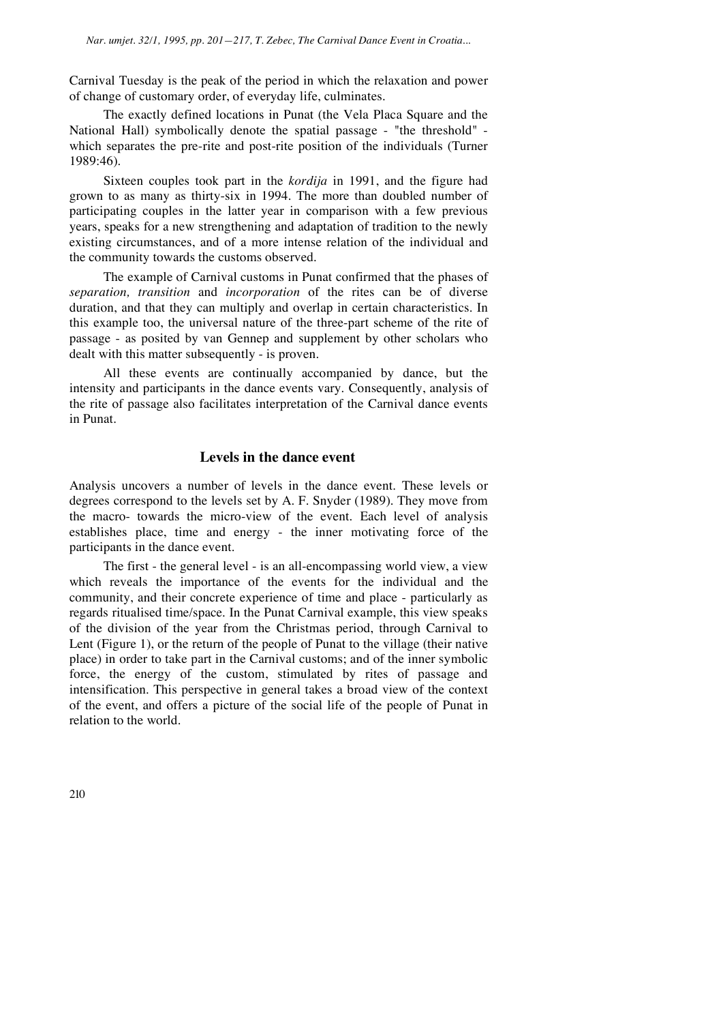Carnival Tuesday is the peak of the period in which the relaxation and power of change of customary order, of everyday life, culminates.

The exactly defined locations in Punat (the Vela Placa Square and the National Hall) symbolically denote the spatial passage - "the threshold" which separates the pre-rite and post-rite position of the individuals (Turner 1989:46).

Sixteen couples took part in the *kordija* in 1991, and the figure had grown to as many as thirty-six in 1994. The more than doubled number of participating couples in the latter year in comparison with a few previous years, speaks for a new strengthening and adaptation of tradition to the newly existing circumstances, and of a more intense relation of the individual and the community towards the customs observed.

The example of Carnival customs in Punat confirmed that the phases of *separation, transition* and *incorporation* of the rites can be of diverse duration, and that they can multiply and overlap in certain characteristics. In this example too, the universal nature of the three-part scheme of the rite of passage - as posited by van Gennep and supplement by other scholars who dealt with this matter subsequently - is proven.

All these events are continually accompanied by dance, but the intensity and participants in the dance events vary. Consequently, analysis of the rite of passage also facilitates interpretation of the Carnival dance events in Punat.

# **Levels in the dance event**

Analysis uncovers a number of levels in the dance event. These levels or degrees correspond to the levels set by A. F. Snyder (1989). They move from the macro- towards the micro-view of the event. Each level of analysis establishes place, time and energy - the inner motivating force of the participants in the dance event.

The first - the general level - is an all-encompassing world view, a view which reveals the importance of the events for the individual and the community, and their concrete experience of time and place - particularly as regards ritualised time/space. In the Punat Carnival example, this view speaks of the division of the year from the Christmas period, through Carnival to Lent (Figure 1), or the return of the people of Punat to the village (their native place) in order to take part in the Carnival customs; and of the inner symbolic force, the energy of the custom, stimulated by rites of passage and intensification. This perspective in general takes a broad view of the context of the event, and offers a picture of the social life of the people of Punat in relation to the world.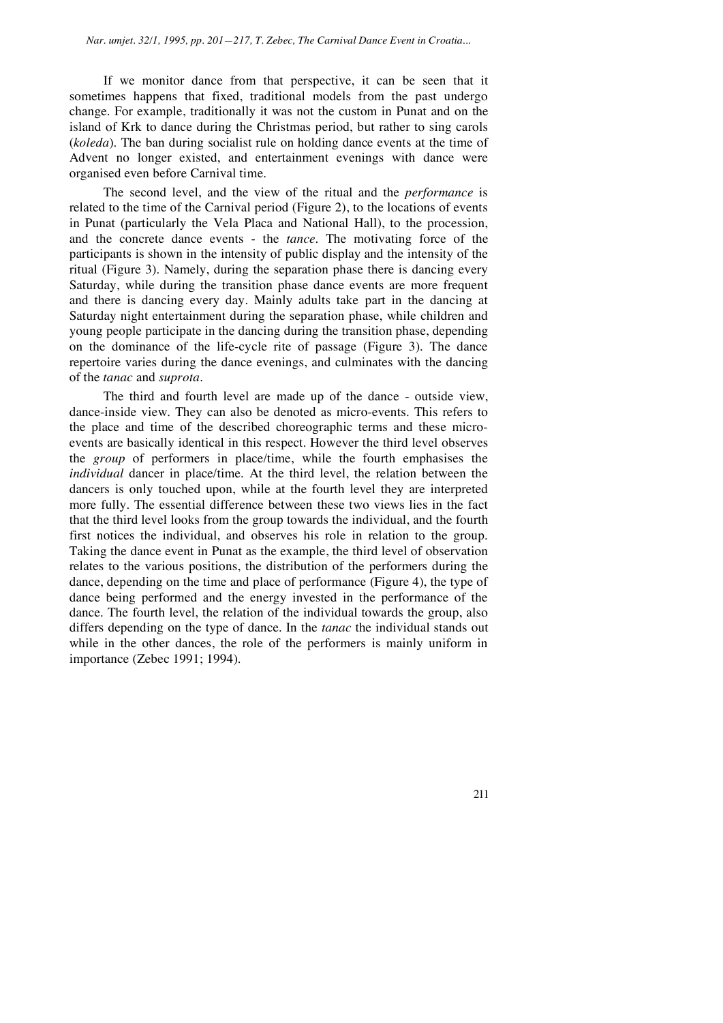If we monitor dance from that perspective, it can be seen that it sometimes happens that fixed, traditional models from the past undergo change. For example, traditionally it was not the custom in Punat and on the island of Krk to dance during the Christmas period, but rather to sing carols (*koleda*). The ban during socialist rule on holding dance events at the time of Advent no longer existed, and entertainment evenings with dance were organised even before Carnival time.

The second level, and the view of the ritual and the *performance* is related to the time of the Carnival period (Figure 2), to the locations of events in Punat (particularly the Vela Placa and National Hall), to the procession, and the concrete dance events - the *tance*. The motivating force of the participants is shown in the intensity of public display and the intensity of the ritual (Figure 3). Namely, during the separation phase there is dancing every Saturday, while during the transition phase dance events are more frequent and there is dancing every day. Mainly adults take part in the dancing at Saturday night entertainment during the separation phase, while children and young people participate in the dancing during the transition phase, depending on the dominance of the life-cycle rite of passage (Figure 3). The dance repertoire varies during the dance evenings, and culminates with the dancing of the *tanac* and *suprota*.

The third and fourth level are made up of the dance - outside view, dance-inside view. They can also be denoted as micro-events. This refers to the place and time of the described choreographic terms and these microevents are basically identical in this respect. However the third level observes the *group* of performers in place/time, while the fourth emphasises the *individual* dancer in place/time. At the third level, the relation between the dancers is only touched upon, while at the fourth level they are interpreted more fully. The essential difference between these two views lies in the fact that the third level looks from the group towards the individual, and the fourth first notices the individual, and observes his role in relation to the group. Taking the dance event in Punat as the example, the third level of observation relates to the various positions, the distribution of the performers during the dance, depending on the time and place of performance (Figure 4), the type of dance being performed and the energy invested in the performance of the dance. The fourth level, the relation of the individual towards the group, also differs depending on the type of dance. In the *tanac* the individual stands out while in the other dances, the role of the performers is mainly uniform in importance (Zebec 1991; 1994).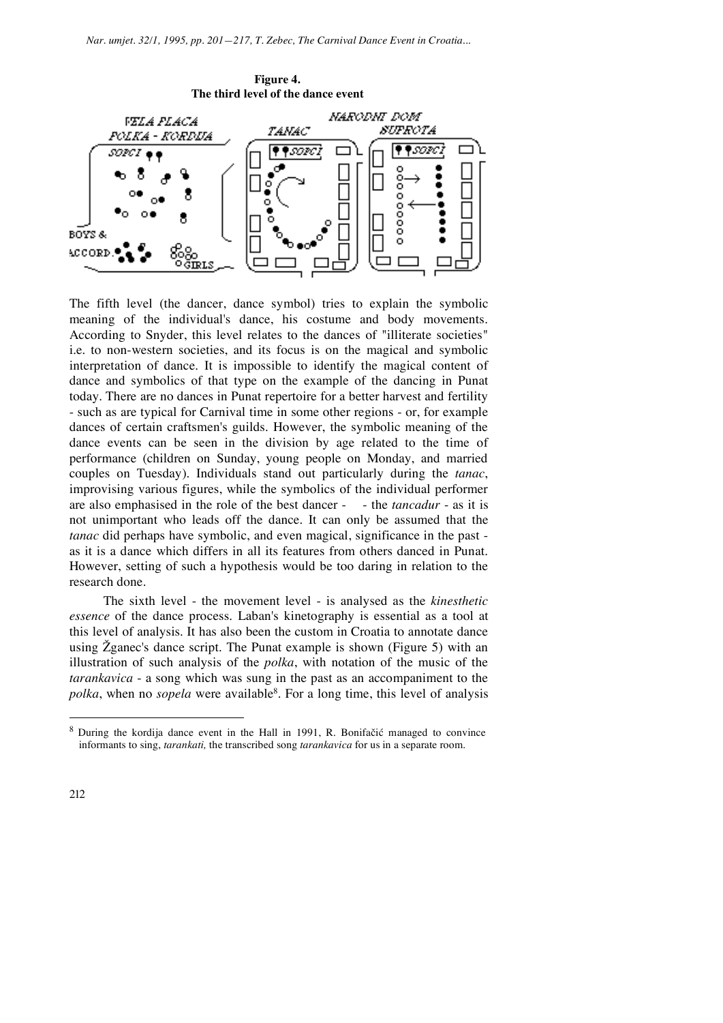

The fifth level (the dancer, dance symbol) tries to explain the symbolic meaning of the individual's dance, his costume and body movements. According to Snyder, this level relates to the dances of "illiterate societies" i.e. to non-western societies, and its focus is on the magical and symbolic interpretation of dance. It is impossible to identify the magical content of dance and symbolics of that type on the example of the dancing in Punat today. There are no dances in Punat repertoire for a better harvest and fertility - such as are typical for Carnival time in some other regions - or, for example dances of certain craftsmen's guilds. However, the symbolic meaning of the dance events can be seen in the division by age related to the time of performance (children on Sunday, young people on Monday, and married couples on Tuesday). Individuals stand out particularly during the *tanac*, improvising various figures, while the symbolics of the individual performer are also emphasised in the role of the best dancer - - the *tancadur* - as it is not unimportant who leads off the dance. It can only be assumed that the *tanac* did perhaps have symbolic, and even magical, significance in the past as it is a dance which differs in all its features from others danced in Punat. However, setting of such a hypothesis would be too daring in relation to the research done.

The sixth level - the movement level - is analysed as the *kinesthetic essence* of the dance process. Laban's kinetography is essential as a tool at this level of analysis. It has also been the custom in Croatia to annotate dance using  $\zeta$  ganec's dance script. The Punat example is shown (Figure 5) with an illustration of such analysis of the *polka*, with notation of the music of the *tarankavica* - a song which was sung in the past as an accompaniment to the *polka*, when no *sopela* were available<sup>8</sup>. For a long time, this level of analysis

<sup>&</sup>lt;sup>8</sup> During the kordija dance event in the Hall in 1991, R. Bonifačić managed to convince informants to sing, *tarankati,* the transcribed song *tarankavica* for us in a separate room.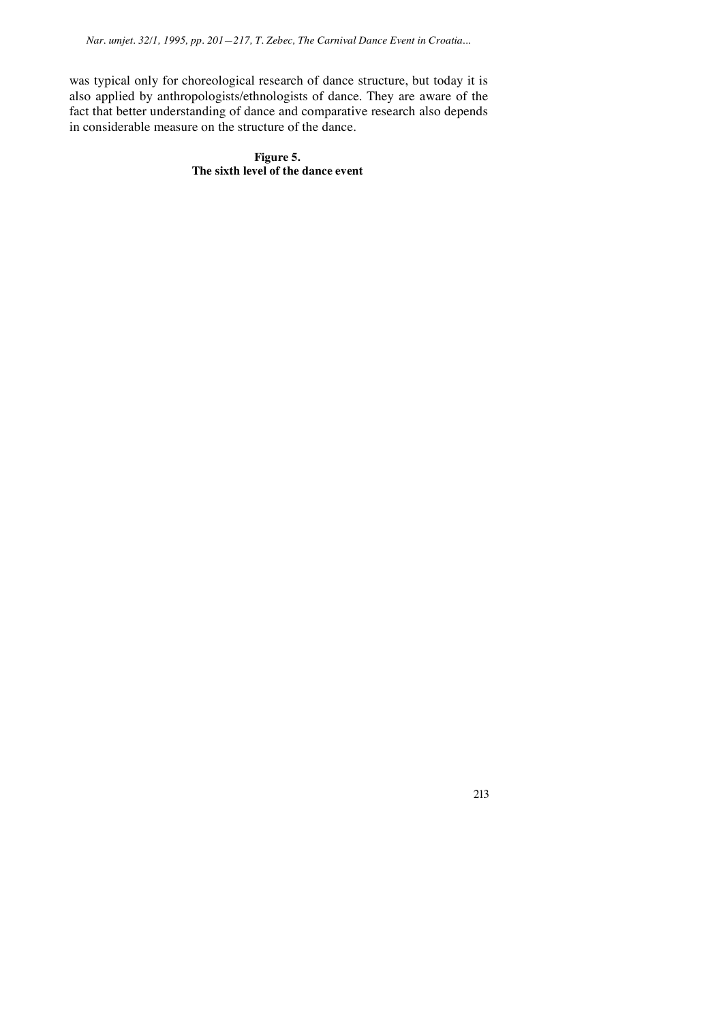was typical only for choreological research of dance structure, but today it is also applied by anthropologists/ethnologists of dance. They are aware of the fact that better understanding of dance and comparative research also depends in considerable measure on the structure of the dance.

> **Figure 5. The sixth level of the dance event**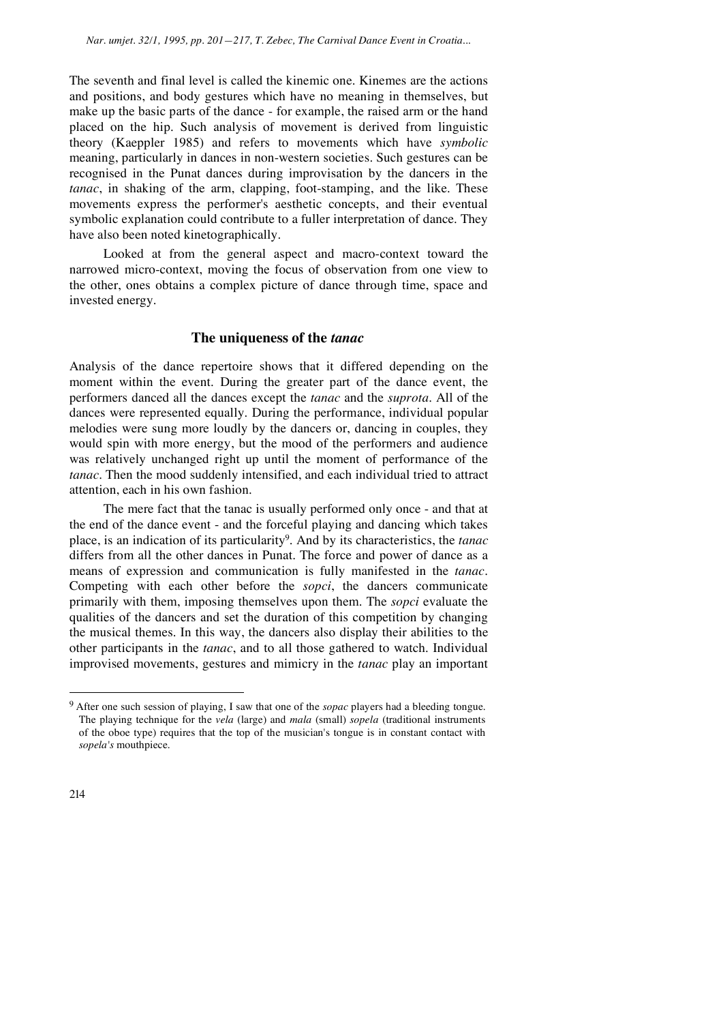The seventh and final level is called the kinemic one. Kinemes are the actions and positions, and body gestures which have no meaning in themselves, but make up the basic parts of the dance - for example, the raised arm or the hand placed on the hip. Such analysis of movement is derived from linguistic theory (Kaeppler 1985) and refers to movements which have *symbolic* meaning, particularly in dances in non-western societies. Such gestures can be recognised in the Punat dances during improvisation by the dancers in the *tanac*, in shaking of the arm, clapping, foot-stamping, and the like. These movements express the performer's aesthetic concepts, and their eventual symbolic explanation could contribute to a fuller interpretation of dance. They have also been noted kinetographically.

Looked at from the general aspect and macro-context toward the narrowed micro-context, moving the focus of observation from one view to the other, ones obtains a complex picture of dance through time, space and invested energy.

## **The uniqueness of the** *tanac*

Analysis of the dance repertoire shows that it differed depending on the moment within the event. During the greater part of the dance event, the performers danced all the dances except the *tanac* and the *suprota*. All of the dances were represented equally. During the performance, individual popular melodies were sung more loudly by the dancers or, dancing in couples, they would spin with more energy, but the mood of the performers and audience was relatively unchanged right up until the moment of performance of the *tanac*. Then the mood suddenly intensified, and each individual tried to attract attention, each in his own fashion.

The mere fact that the tanac is usually performed only once - and that at the end of the dance event - and the forceful playing and dancing which takes place, is an indication of its particularity9. And by its characteristics, the *tanac* differs from all the other dances in Punat. The force and power of dance as a means of expression and communication is fully manifested in the *tanac*. Competing with each other before the *sopci*, the dancers communicate primarily with them, imposing themselves upon them. The *sopci* evaluate the qualities of the dancers and set the duration of this competition by changing the musical themes. In this way, the dancers also display their abilities to the other participants in the *tanac*, and to all those gathered to watch. Individual improvised movements, gestures and mimicry in the *tanac* play an important

<sup>9</sup> After one such session of playing, I saw that one of the *sopac* players had a bleeding tongue. The playing technique for the *vela* (large) and *mala* (small) *sopela* (traditional instruments of the oboe type) requires that the top of the musician's tongue is in constant contact with *sopela's* mouthpiece.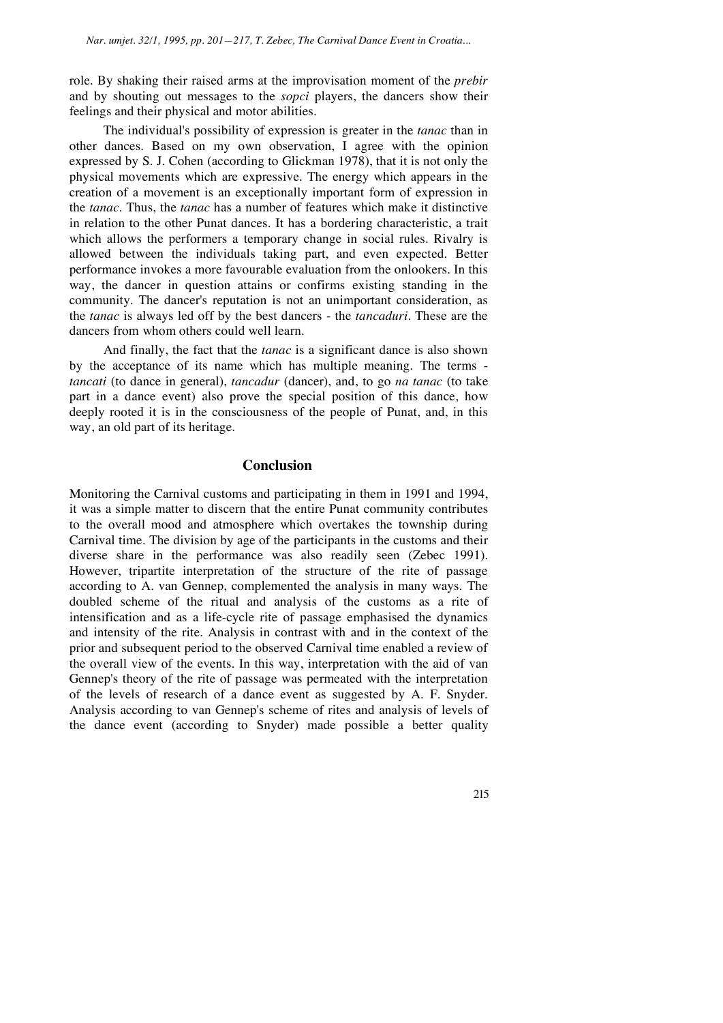role. By shaking their raised arms at the improvisation moment of the *prebir* and by shouting out messages to the *sopci* players, the dancers show their feelings and their physical and motor abilities.

The individual's possibility of expression is greater in the *tanac* than in other dances. Based on my own observation, I agree with the opinion expressed by S. J. Cohen (according to Glickman 1978), that it is not only the physical movements which are expressive. The energy which appears in the creation of a movement is an exceptionally important form of expression in the *tanac*. Thus, the *tanac* has a number of features which make it distinctive in relation to the other Punat dances. It has a bordering characteristic, a trait which allows the performers a temporary change in social rules. Rivalry is allowed between the individuals taking part, and even expected. Better performance invokes a more favourable evaluation from the onlookers. In this way, the dancer in question attains or confirms existing standing in the community. The dancer's reputation is not an unimportant consideration, as the *tanac* is always led off by the best dancers - the *tancaduri*. These are the dancers from whom others could well learn.

And finally, the fact that the *tanac* is a significant dance is also shown by the acceptance of its name which has multiple meaning. The terms *tancati* (to dance in general), *tancadur* (dancer), and, to go *na tanac* (to take part in a dance event) also prove the special position of this dance, how deeply rooted it is in the consciousness of the people of Punat, and, in this way, an old part of its heritage.

# **Conclusion**

Monitoring the Carnival customs and participating in them in 1991 and 1994, it was a simple matter to discern that the entire Punat community contributes to the overall mood and atmosphere which overtakes the township during Carnival time. The division by age of the participants in the customs and their diverse share in the performance was also readily seen (Zebec 1991). However, tripartite interpretation of the structure of the rite of passage according to A. van Gennep, complemented the analysis in many ways. The doubled scheme of the ritual and analysis of the customs as a rite of intensification and as a life-cycle rite of passage emphasised the dynamics and intensity of the rite. Analysis in contrast with and in the context of the prior and subsequent period to the observed Carnival time enabled a review of the overall view of the events. In this way, interpretation with the aid of van Gennep's theory of the rite of passage was permeated with the interpretation of the levels of research of a dance event as suggested by A. F. Snyder. Analysis according to van Gennep's scheme of rites and analysis of levels of the dance event (according to Snyder) made possible a better quality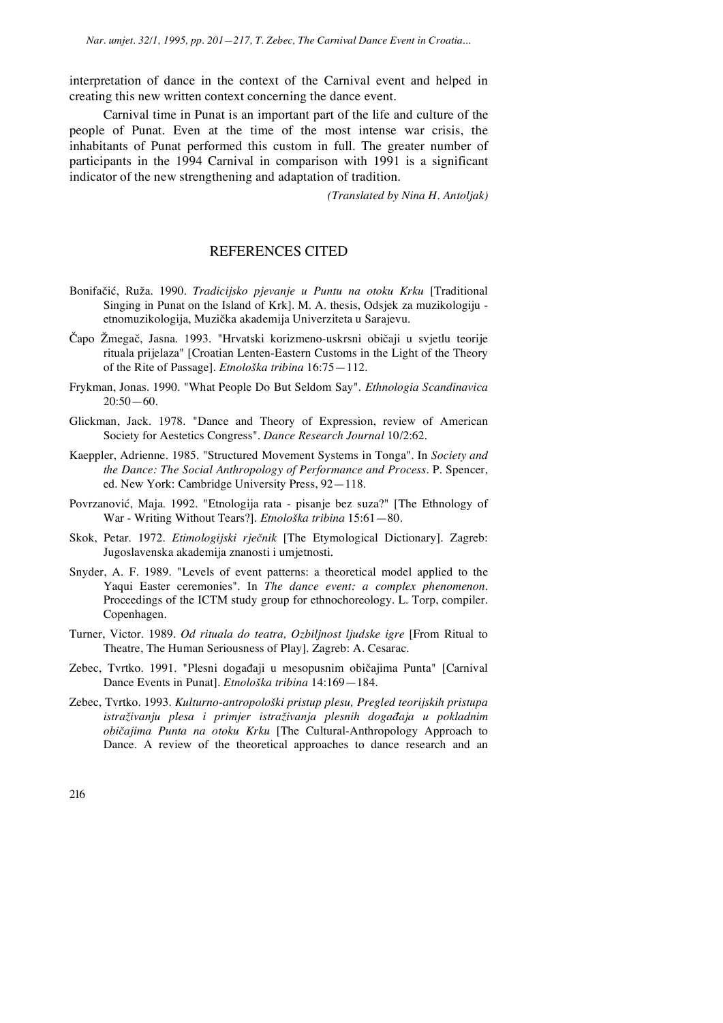interpretation of dance in the context of the Carnival event and helped in creating this new written context concerning the dance event.

Carnival time in Punat is an important part of the life and culture of the people of Punat. Even at the time of the most intense war crisis, the inhabitants of Punat performed this custom in full. The greater number of participants in the 1994 Carnival in comparison with 1991 is a significant indicator of the new strengthening and adaptation of tradition.

*(Translated by Nina H. Antoljak)* 

# REFERENCES CITED

- Bonifačić, Ruža. 1990. Tradicijsko pjevanje u Puntu na otoku Krku [Traditional Singing in Punat on the Island of Krk]. M. A. thesis, Odsjek za muzikologiju etnomuzikologija, Muzika akademija Univerziteta u Sarajevu.
- Čapo Žmegač, Jasna. 1993. "Hrvatski korizmeno-uskrsni običaji u svjetlu teorije rituala prijelaza" [Croatian Lenten-Eastern Customs in the Light of the Theory of the Rite of Passage]. *Etnoloka tribina* 16:75—112.
- Frykman, Jonas. 1990. "What People Do But Seldom Say". *Ethnologia Scandinavica*  $20:50-60.$
- Glickman, Jack. 1978. "Dance and Theory of Expression, review of American Society for Aestetics Congress". *Dance Research Journal* 10/2:62.
- Kaeppler, Adrienne. 1985. "Structured Movement Systems in Tonga". In *Society and the Dance: The Social Anthropology of Performance and Process*. P. Spencer, ed. New York: Cambridge University Press, 92—118.
- Povrzanović, Maja. 1992. "Etnologija rata pisanje bez suza?" [The Ethnology of War - Writing Without Tears?]. *Etnoloka tribina* 15:61—80.
- Skok, Petar. 1972. *Etimologijski rjenik* [The Etymological Dictionary]. Zagreb: Jugoslavenska akademija znanosti i umjetnosti.
- Snyder, A. F. 1989. "Levels of event patterns: a theoretical model applied to the Yaqui Easter ceremonies". In *The dance event: a complex phenomenon*. Proceedings of the ICTM study group for ethnochoreology. L. Torp, compiler. Copenhagen.
- Turner, Victor. 1989. *Od rituala do teatra, Ozbiljnost ljudske igre* [From Ritual to Theatre, The Human Seriousness of Play]. Zagreb: A. Cesarac.
- Zebec, Tvrtko. 1991. "Plesni događaji u mesopusnim običajima Punta" [Carnival Dance Events in Punat]. *Etnoloka tribina* 14:169—184.
- Zebec, Tvrtko. 1993. *Kulturno-antropoloki pristup plesu, Pregled teorijskih pristupa istraivanju plesa i primjer istraivanja plesnih dogaaja u pokladnim obiajima Punta na otoku Krku* [The Cultural-Anthropology Approach to Dance. A review of the theoretical approaches to dance research and an